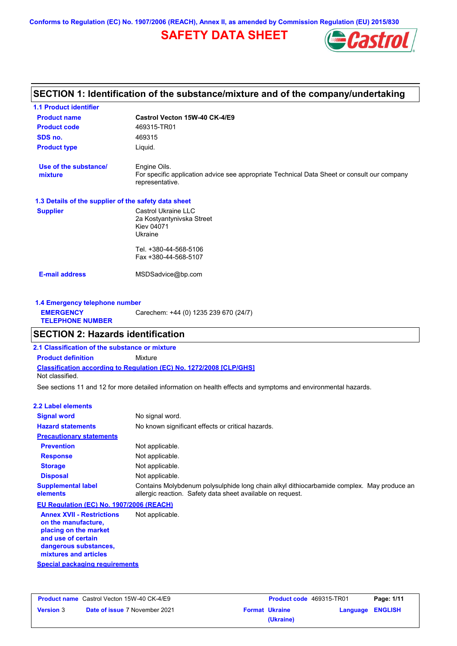**Conforms to Regulation (EC) No. 1907/2006 (REACH), Annex II, as amended by Commission Regulation (EU) 2015/830**

# **SAFETY DATA SHEET**



## **Castrol Vecton 15W-40 CK-4/E9 Product name 1.1 Product identifier 1.3 Details of the supplier of the safety data sheet Product type Liquid. E-mail address** MSDSadvice@bp.com **SECTION 1: Identification of the substance/mixture and of the company/undertaking Product code** 469315-TR01 **1.4 Emergency telephone number EMERGENCY TELEPHONE NUMBER** Carechem: +44 (0) 1235 239 670 (24/7) **Supplier** Castrol Ukraine LLC 2a Kostyantynivska Street Kiev 04071 Ukraine Tel. +380-44-568-5106 Fax +380-44-568-5107 **SDS no.** 469315 **Use of the substance/ mixture** Engine Oils. For specific application advice see appropriate Technical Data Sheet or consult our company representative.

## **SECTION 2: Hazards identification**

**Classification according to Regulation (EC) No. 1272/2008 [CLP/GHS] 2.1 Classification of the substance or mixture Product definition** Mixture Not classified.

See sections 11 and 12 for more detailed information on health effects and symptoms and environmental hazards.

#### **2.2 Label elements**

| ביווסום מוכוונים אים                                                                                                                                     |                                                                                                                                                         |
|----------------------------------------------------------------------------------------------------------------------------------------------------------|---------------------------------------------------------------------------------------------------------------------------------------------------------|
| <b>Signal word</b>                                                                                                                                       | No signal word.                                                                                                                                         |
| <b>Hazard statements</b>                                                                                                                                 | No known significant effects or critical hazards.                                                                                                       |
| <b>Precautionary statements</b>                                                                                                                          |                                                                                                                                                         |
| <b>Prevention</b>                                                                                                                                        | Not applicable.                                                                                                                                         |
| <b>Response</b>                                                                                                                                          | Not applicable.                                                                                                                                         |
| <b>Storage</b>                                                                                                                                           | Not applicable.                                                                                                                                         |
| <b>Disposal</b>                                                                                                                                          | Not applicable.                                                                                                                                         |
| <b>Supplemental label</b><br>elements                                                                                                                    | Contains Molybdenum polysulphide long chain alkyl dithiocarbamide complex. May produce an<br>allergic reaction. Safety data sheet available on request. |
| EU Regulation (EC) No. 1907/2006 (REACH)                                                                                                                 |                                                                                                                                                         |
| <b>Annex XVII - Restrictions</b><br>on the manufacture.<br>placing on the market<br>and use of certain<br>dangerous substances,<br>mixtures and articles | Not applicable.                                                                                                                                         |
| Special packaging requirements                                                                                                                           |                                                                                                                                                         |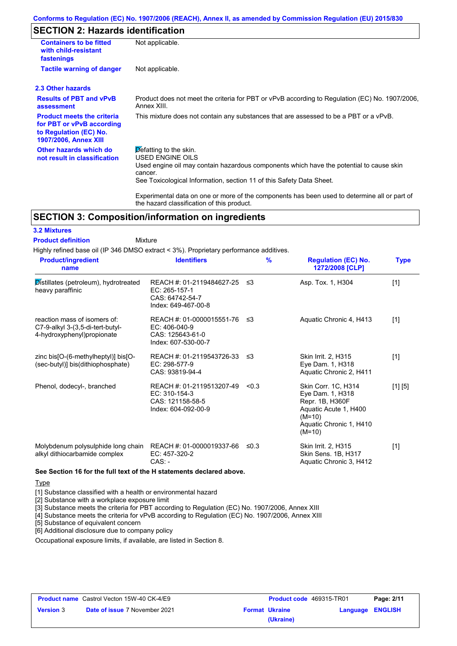# **SECTION 2: Hazards identification**

| <b>Containers to be fitted</b><br>with child-resistant<br>fastenings                                                     | Not applicable.                                                                                                                                                                                                                 |
|--------------------------------------------------------------------------------------------------------------------------|---------------------------------------------------------------------------------------------------------------------------------------------------------------------------------------------------------------------------------|
| <b>Tactile warning of danger</b>                                                                                         | Not applicable.                                                                                                                                                                                                                 |
| 2.3 Other hazards                                                                                                        |                                                                                                                                                                                                                                 |
| <b>Results of PBT and vPvB</b><br>assessment                                                                             | Product does not meet the criteria for PBT or vPvB according to Regulation (EC) No. 1907/2006,<br>Annex XIII.                                                                                                                   |
| <b>Product meets the criteria</b><br>for PBT or vPvB according<br>to Regulation (EC) No.<br><b>1907/2006, Annex XIII</b> | This mixture does not contain any substances that are assessed to be a PBT or a vPvB.                                                                                                                                           |
| Other hazards which do<br>not result in classification                                                                   | $\beta$ efatting to the skin.<br>USED ENGINE OILS<br>Used engine oil may contain hazardous components which have the potential to cause skin<br>cancer.<br>See Toxicological Information, section 11 of this Safety Data Sheet. |
|                                                                                                                          | Experimental data on one or more of the components has been used to determine all or part of                                                                                                                                    |

# **SECTION 3: Composition/information on ingredients**

#### **3.2 Mixtures**

#### Mixture **Product definition**

Highly refined base oil (IP 346 DMSO extract < 3%). Proprietary performance additives.

the hazard classification of this product.

| <b>Product/ingredient</b><br>name                                                               | <b>Identifiers</b>                                                                      | $\%$  | <b>Regulation (EC) No.</b><br>1272/2008 [CLP]                                                                                          | <b>Type</b> |
|-------------------------------------------------------------------------------------------------|-----------------------------------------------------------------------------------------|-------|----------------------------------------------------------------------------------------------------------------------------------------|-------------|
| Distillates (petroleum), hydrotreated<br>heavy paraffinic                                       | REACH #: 01-2119484627-25<br>EC: 265-157-1<br>CAS: 64742-54-7<br>Index: 649-467-00-8    | ≤3    | Asp. Tox. 1, H304                                                                                                                      | $[1]$       |
| reaction mass of isomers of:<br>C7-9-alkyl 3-(3,5-di-tert-butyl-<br>4-hydroxyphenyl) propionate | REACH #: 01-0000015551-76<br>$EC: 406-040-9$<br>CAS: 125643-61-0<br>Index: 607-530-00-7 | -≤3   | Aquatic Chronic 4, H413                                                                                                                | $[1]$       |
| zinc bis[O-(6-methylheptyl)] bis[O-<br>(sec-butyl)] bis(dithiophosphate)                        | REACH #: 01-2119543726-33<br>EC: 298-577-9<br>CAS: 93819-94-4                           | -≤3   | Skin Irrit. 2, H315<br>Eye Dam. 1, H318<br>Aquatic Chronic 2, H411                                                                     | $[1]$       |
| Phenol, dodecyl-, branched                                                                      | REACH #: 01-2119513207-49<br>EC: 310-154-3<br>CAS: 121158-58-5<br>Index: 604-092-00-9   | < 0.3 | Skin Corr. 1C, H314<br>Eye Dam. 1, H318<br>Repr. 1B, H360F<br>Aquatic Acute 1, H400<br>$(M=10)$<br>Aquatic Chronic 1, H410<br>$(M=10)$ | [1] [5]     |
| Molybdenum polysulphide long chain<br>alkyl dithiocarbamide complex                             | REACH #: 01-0000019337-66<br>EC: 457-320-2<br>$CAS: -$                                  | ≤0.3  | <b>Skin Irrit. 2, H315</b><br>Skin Sens. 1B, H317<br>Aquatic Chronic 3, H412                                                           | $[1]$       |

#### **Type**

[1] Substance classified with a health or environmental hazard

[2] Substance with a workplace exposure limit

[3] Substance meets the criteria for PBT according to Regulation (EC) No. 1907/2006, Annex XIII

[4] Substance meets the criteria for vPvB according to Regulation (EC) No. 1907/2006, Annex XIII

[5] Substance of equivalent concern

[6] Additional disclosure due to company policy

Occupational exposure limits, if available, are listed in Section 8.

| <b>Product name</b> Castrol Vecton 15W-40 CK-4/E9 |                                      | <b>Product code</b> 469315-TR01 |                       | Page: 2/11              |  |
|---------------------------------------------------|--------------------------------------|---------------------------------|-----------------------|-------------------------|--|
| <b>Version 3</b>                                  | <b>Date of issue 7 November 2021</b> |                                 | <b>Format Ukraine</b> | <b>Language ENGLISH</b> |  |
|                                                   |                                      |                                 | (Ukraine)             |                         |  |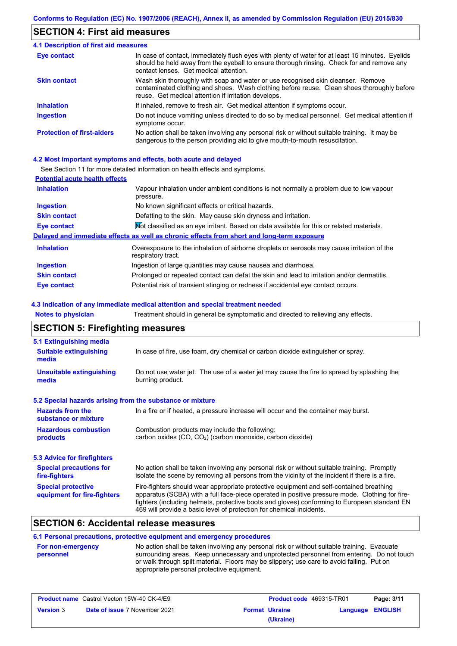# **SECTION 4: First aid measures**

| 4.1 Description of first aid measures |                                                                                                                                                                                                                                         |
|---------------------------------------|-----------------------------------------------------------------------------------------------------------------------------------------------------------------------------------------------------------------------------------------|
| Eye contact                           | In case of contact, immediately flush eyes with plenty of water for at least 15 minutes. Eyelids<br>should be held away from the eyeball to ensure thorough rinsing. Check for and remove any<br>contact lenses. Get medical attention. |
| <b>Skin contact</b>                   | Wash skin thoroughly with soap and water or use recognised skin cleanser. Remove<br>contaminated clothing and shoes. Wash clothing before reuse. Clean shoes thoroughly before<br>reuse. Get medical attention if irritation develops.  |
| <b>Inhalation</b>                     | If inhaled, remove to fresh air. Get medical attention if symptoms occur.                                                                                                                                                               |
| <b>Ingestion</b>                      | Do not induce vomiting unless directed to do so by medical personnel. Get medical attention if<br>symptoms occur.                                                                                                                       |
| <b>Protection of first-aiders</b>     | No action shall be taken involving any personal risk or without suitable training. It may be<br>dangerous to the person providing aid to give mouth-to-mouth resuscitation.                                                             |

#### **4.2 Most important symptoms and effects, both acute and delayed**

See Section 11 for more detailed information on health effects and symptoms.

| <b>Potential acute health effects</b> |                                                                                                                   |
|---------------------------------------|-------------------------------------------------------------------------------------------------------------------|
| <b>Inhalation</b>                     | Vapour inhalation under ambient conditions is not normally a problem due to low vapour<br>pressure.               |
| <b>Ingestion</b>                      | No known significant effects or critical hazards.                                                                 |
| <b>Skin contact</b>                   | Defatting to the skin. May cause skin dryness and irritation.                                                     |
| Eye contact                           | Mot classified as an eye irritant. Based on data available for this or related materials.                         |
|                                       | Delayed and immediate effects as well as chronic effects from short and long-term exposure                        |
| <b>Inhalation</b>                     | Overexposure to the inhalation of airborne droplets or aerosols may cause irritation of the<br>respiratory tract. |
| <b>Ingestion</b>                      | Ingestion of large quantities may cause nausea and diarrhoea.                                                     |
| <b>Skin contact</b>                   | Prolonged or repeated contact can defat the skin and lead to irritation and/or dermatitis.                        |
| Eye contact                           | Potential risk of transient stinging or redness if accidental eye contact occurs.                                 |

#### **4.3 Indication of any immediate medical attention and special treatment needed**

| <b>Notes to physician</b>                                 | Treatment should in general be symptomatic and directed to relieving any effects.                                                                                                                                                                                                                                                                                 |  |  |  |  |
|-----------------------------------------------------------|-------------------------------------------------------------------------------------------------------------------------------------------------------------------------------------------------------------------------------------------------------------------------------------------------------------------------------------------------------------------|--|--|--|--|
| <b>SECTION 5: Firefighting measures</b>                   |                                                                                                                                                                                                                                                                                                                                                                   |  |  |  |  |
| 5.1 Extinguishing media                                   |                                                                                                                                                                                                                                                                                                                                                                   |  |  |  |  |
| <b>Suitable extinguishing</b><br>media                    | In case of fire, use foam, dry chemical or carbon dioxide extinguisher or spray.                                                                                                                                                                                                                                                                                  |  |  |  |  |
| <b>Unsuitable extinguishing</b><br>media                  | Do not use water jet. The use of a water jet may cause the fire to spread by splashing the<br>burning product.                                                                                                                                                                                                                                                    |  |  |  |  |
| 5.2 Special hazards arising from the substance or mixture |                                                                                                                                                                                                                                                                                                                                                                   |  |  |  |  |
| <b>Hazards from the</b><br>substance or mixture           | In a fire or if heated, a pressure increase will occur and the container may burst.                                                                                                                                                                                                                                                                               |  |  |  |  |
| <b>Hazardous combustion</b><br>products                   | Combustion products may include the following:<br>carbon oxides (CO, CO <sub>2</sub> ) (carbon monoxide, carbon dioxide)                                                                                                                                                                                                                                          |  |  |  |  |
| 5.3 Advice for firefighters                               |                                                                                                                                                                                                                                                                                                                                                                   |  |  |  |  |
| <b>Special precautions for</b><br>fire-fighters           | No action shall be taken involving any personal risk or without suitable training. Promptly<br>isolate the scene by removing all persons from the vicinity of the incident if there is a fire.                                                                                                                                                                    |  |  |  |  |
| <b>Special protective</b><br>equipment for fire-fighters  | Fire-fighters should wear appropriate protective equipment and self-contained breathing<br>apparatus (SCBA) with a full face-piece operated in positive pressure mode. Clothing for fire-<br>fighters (including helmets, protective boots and gloves) conforming to European standard EN<br>469 will provide a basic level of protection for chemical incidents. |  |  |  |  |

# **SECTION 6: Accidental release measures**

### **6.1 Personal precautions, protective equipment and emergency procedures**

| <b>For non-emergency</b> | No action shall be taken involving any personal risk or without suitable training. Evacuate |
|--------------------------|---------------------------------------------------------------------------------------------|
| personnel                | surrounding areas. Keep unnecessary and unprotected personnel from entering. Do not touch   |
|                          | or walk through spilt material. Floors may be slippery; use care to avoid falling. Put on   |
|                          | appropriate personal protective equipment.                                                  |

|                  | <b>Product name</b> Castrol Vecton 15W-40 CK-4/E9 | <b>Product code</b> 469315-TR01 |                  | Page: 3/11 |
|------------------|---------------------------------------------------|---------------------------------|------------------|------------|
| <b>Version 3</b> | <b>Date of issue 7 November 2021</b>              | <b>Format Ukraine</b>           | Language ENGLISH |            |
|                  |                                                   | (Ukraine)                       |                  |            |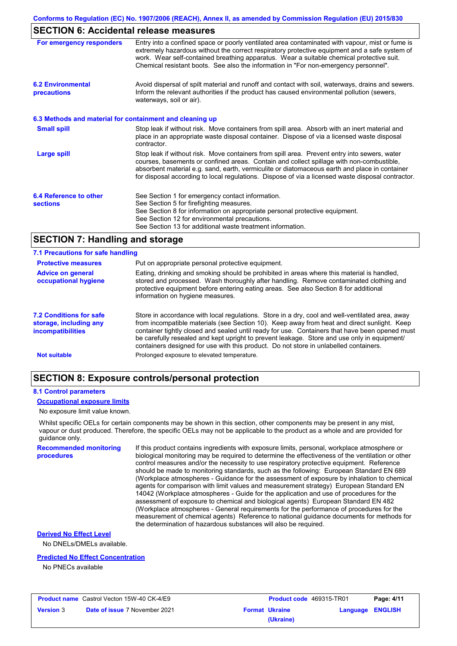# **SECTION 6: Accidental release measures**

| For emergency responders                                 | Entry into a confined space or poorly ventilated area contaminated with vapour, mist or fume is<br>extremely hazardous without the correct respiratory protective equipment and a safe system of<br>work. Wear self-contained breathing apparatus. Wear a suitable chemical protective suit.<br>Chemical resistant boots. See also the information in "For non-emergency personnel".           |
|----------------------------------------------------------|------------------------------------------------------------------------------------------------------------------------------------------------------------------------------------------------------------------------------------------------------------------------------------------------------------------------------------------------------------------------------------------------|
| <b>6.2 Environmental</b><br>precautions                  | Avoid dispersal of spilt material and runoff and contact with soil, waterways, drains and sewers.<br>Inform the relevant authorities if the product has caused environmental pollution (sewers,<br>waterways, soil or air).                                                                                                                                                                    |
| 6.3 Methods and material for containment and cleaning up |                                                                                                                                                                                                                                                                                                                                                                                                |
| <b>Small spill</b>                                       | Stop leak if without risk. Move containers from spill area. Absorb with an inert material and<br>place in an appropriate waste disposal container. Dispose of via a licensed waste disposal<br>contractor.                                                                                                                                                                                     |
| Large spill                                              | Stop leak if without risk. Move containers from spill area. Prevent entry into sewers, water<br>courses, basements or confined areas. Contain and collect spillage with non-combustible,<br>absorbent material e.g. sand, earth, vermiculite or diatomaceous earth and place in container<br>for disposal according to local regulations. Dispose of via a licensed waste disposal contractor. |
| 6.4 Reference to other                                   | See Section 1 for emergency contact information.                                                                                                                                                                                                                                                                                                                                               |
| <b>sections</b>                                          | See Section 5 for firefighting measures.                                                                                                                                                                                                                                                                                                                                                       |
|                                                          | See Section 8 for information on appropriate personal protective equipment.                                                                                                                                                                                                                                                                                                                    |
|                                                          | See Section 12 for environmental precautions.                                                                                                                                                                                                                                                                                                                                                  |
|                                                          | See Section 13 for additional waste treatment information.                                                                                                                                                                                                                                                                                                                                     |

### **SECTION 7: Handling and storage**

| 7.1 Precautions for safe handling                                                    |                                                                                                                                                                                                                                                                                                                                                                                                                                                                                          |
|--------------------------------------------------------------------------------------|------------------------------------------------------------------------------------------------------------------------------------------------------------------------------------------------------------------------------------------------------------------------------------------------------------------------------------------------------------------------------------------------------------------------------------------------------------------------------------------|
| <b>Protective measures</b>                                                           | Put on appropriate personal protective equipment.                                                                                                                                                                                                                                                                                                                                                                                                                                        |
| <b>Advice on general</b><br>occupational hygiene                                     | Eating, drinking and smoking should be prohibited in areas where this material is handled,<br>stored and processed. Wash thoroughly after handling. Remove contaminated clothing and<br>protective equipment before entering eating areas. See also Section 8 for additional<br>information on hygiene measures.                                                                                                                                                                         |
| <b>7.2 Conditions for safe</b><br>storage, including any<br><i>incompatibilities</i> | Store in accordance with local regulations. Store in a dry, cool and well-ventilated area, away<br>from incompatible materials (see Section 10). Keep away from heat and direct sunlight. Keep<br>container tightly closed and sealed until ready for use. Containers that have been opened must<br>be carefully resealed and kept upright to prevent leakage. Store and use only in equipment/<br>containers designed for use with this product. Do not store in unlabelled containers. |
| <b>Not suitable</b>                                                                  | Prolonged exposure to elevated temperature.                                                                                                                                                                                                                                                                                                                                                                                                                                              |

### **SECTION 8: Exposure controls/personal protection**

#### **8.1 Control parameters**

**procedures**

#### **Occupational exposure limits**

No exposure limit value known.

Whilst specific OELs for certain components may be shown in this section, other components may be present in any mist, vapour or dust produced. Therefore, the specific OELs may not be applicable to the product as a whole and are provided for guidance only.

**Recommended monitoring**  If this product contains ingredients with exposure limits, personal, workplace atmosphere or biological monitoring may be required to determine the effectiveness of the ventilation or other control measures and/or the necessity to use respiratory protective equipment. Reference should be made to monitoring standards, such as the following: European Standard EN 689 (Workplace atmospheres - Guidance for the assessment of exposure by inhalation to chemical agents for comparison with limit values and measurement strategy) European Standard EN 14042 (Workplace atmospheres - Guide for the application and use of procedures for the assessment of exposure to chemical and biological agents) European Standard EN 482 (Workplace atmospheres - General requirements for the performance of procedures for the measurement of chemical agents) Reference to national guidance documents for methods for the determination of hazardous substances will also be required.

#### **Derived No Effect Level**

No DNELs/DMELs available.

#### **Predicted No Effect Concentration**

No PNECs available

|                  | <b>Product name</b> Castrol Vecton 15W-40 CK-4/E9 |
|------------------|---------------------------------------------------|
| <b>Version 3</b> | <b>Date of issue 7 November 2021</b>              |

| Castrol Vecton 15W-40 CK-4/E9        | <b>Product code</b> 469315-TR01 |                         | Page: 4/11 |
|--------------------------------------|---------------------------------|-------------------------|------------|
| <b>Date of issue 7 November 2021</b> | <b>Format Ukraine</b>           | <b>Language ENGLISH</b> |            |
|                                      | (Ukraine)                       |                         |            |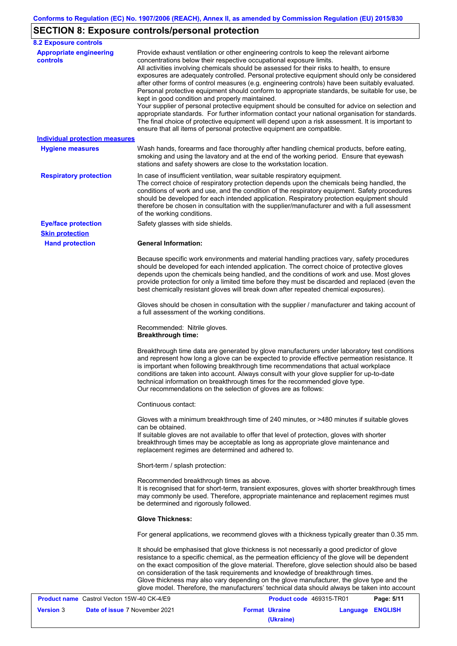# **SECTION 8: Exposure controls/personal protection**

| <b>8.2 Exposure controls</b>               |                                                                                                                                                                                                                                                                                                                                                                                                                                                                                                                                                                                                                                                                                                                                                                                                                                                                                                                                                                                                         |
|--------------------------------------------|---------------------------------------------------------------------------------------------------------------------------------------------------------------------------------------------------------------------------------------------------------------------------------------------------------------------------------------------------------------------------------------------------------------------------------------------------------------------------------------------------------------------------------------------------------------------------------------------------------------------------------------------------------------------------------------------------------------------------------------------------------------------------------------------------------------------------------------------------------------------------------------------------------------------------------------------------------------------------------------------------------|
| <b>Appropriate engineering</b><br>controls | Provide exhaust ventilation or other engineering controls to keep the relevant airborne<br>concentrations below their respective occupational exposure limits.<br>All activities involving chemicals should be assessed for their risks to health, to ensure<br>exposures are adequately controlled. Personal protective equipment should only be considered<br>after other forms of control measures (e.g. engineering controls) have been suitably evaluated.<br>Personal protective equipment should conform to appropriate standards, be suitable for use, be<br>kept in good condition and properly maintained.<br>Your supplier of personal protective equipment should be consulted for advice on selection and<br>appropriate standards. For further information contact your national organisation for standards.<br>The final choice of protective equipment will depend upon a risk assessment. It is important to<br>ensure that all items of personal protective equipment are compatible. |
| <b>Individual protection measures</b>      |                                                                                                                                                                                                                                                                                                                                                                                                                                                                                                                                                                                                                                                                                                                                                                                                                                                                                                                                                                                                         |
| <b>Hygiene measures</b>                    | Wash hands, forearms and face thoroughly after handling chemical products, before eating,<br>smoking and using the lavatory and at the end of the working period. Ensure that eyewash<br>stations and safety showers are close to the workstation location.                                                                                                                                                                                                                                                                                                                                                                                                                                                                                                                                                                                                                                                                                                                                             |
| <b>Respiratory protection</b>              | In case of insufficient ventilation, wear suitable respiratory equipment.<br>The correct choice of respiratory protection depends upon the chemicals being handled, the<br>conditions of work and use, and the condition of the respiratory equipment. Safety procedures<br>should be developed for each intended application. Respiratory protection equipment should<br>therefore be chosen in consultation with the supplier/manufacturer and with a full assessment<br>of the working conditions.                                                                                                                                                                                                                                                                                                                                                                                                                                                                                                   |
| <b>Eye/face protection</b>                 | Safety glasses with side shields.                                                                                                                                                                                                                                                                                                                                                                                                                                                                                                                                                                                                                                                                                                                                                                                                                                                                                                                                                                       |
| <b>Skin protection</b>                     |                                                                                                                                                                                                                                                                                                                                                                                                                                                                                                                                                                                                                                                                                                                                                                                                                                                                                                                                                                                                         |
| <b>Hand protection</b>                     | <b>General Information:</b>                                                                                                                                                                                                                                                                                                                                                                                                                                                                                                                                                                                                                                                                                                                                                                                                                                                                                                                                                                             |
|                                            | Because specific work environments and material handling practices vary, safety procedures<br>should be developed for each intended application. The correct choice of protective gloves<br>depends upon the chemicals being handled, and the conditions of work and use. Most gloves<br>provide protection for only a limited time before they must be discarded and replaced (even the<br>best chemically resistant gloves will break down after repeated chemical exposures).                                                                                                                                                                                                                                                                                                                                                                                                                                                                                                                        |
|                                            | Gloves should be chosen in consultation with the supplier / manufacturer and taking account of<br>a full assessment of the working conditions.                                                                                                                                                                                                                                                                                                                                                                                                                                                                                                                                                                                                                                                                                                                                                                                                                                                          |
|                                            | Recommended: Nitrile gloves.<br><b>Breakthrough time:</b>                                                                                                                                                                                                                                                                                                                                                                                                                                                                                                                                                                                                                                                                                                                                                                                                                                                                                                                                               |
|                                            | Breakthrough time data are generated by glove manufacturers under laboratory test conditions<br>and represent how long a glove can be expected to provide effective permeation resistance. It<br>is important when following breakthrough time recommendations that actual workplace<br>conditions are taken into account. Always consult with your glove supplier for up-to-date<br>technical information on breakthrough times for the recommended glove type.<br>Our recommendations on the selection of gloves are as follows:                                                                                                                                                                                                                                                                                                                                                                                                                                                                      |
|                                            | Continuous contact:                                                                                                                                                                                                                                                                                                                                                                                                                                                                                                                                                                                                                                                                                                                                                                                                                                                                                                                                                                                     |
|                                            | Gloves with a minimum breakthrough time of 240 minutes, or >480 minutes if suitable gloves<br>can be obtained.<br>If suitable gloves are not available to offer that level of protection, gloves with shorter<br>breakthrough times may be acceptable as long as appropriate glove maintenance and<br>replacement regimes are determined and adhered to.                                                                                                                                                                                                                                                                                                                                                                                                                                                                                                                                                                                                                                                |
|                                            | Short-term / splash protection:                                                                                                                                                                                                                                                                                                                                                                                                                                                                                                                                                                                                                                                                                                                                                                                                                                                                                                                                                                         |
|                                            | Recommended breakthrough times as above.<br>It is recognised that for short-term, transient exposures, gloves with shorter breakthrough times<br>may commonly be used. Therefore, appropriate maintenance and replacement regimes must<br>be determined and rigorously followed.                                                                                                                                                                                                                                                                                                                                                                                                                                                                                                                                                                                                                                                                                                                        |
|                                            | <b>Glove Thickness:</b>                                                                                                                                                                                                                                                                                                                                                                                                                                                                                                                                                                                                                                                                                                                                                                                                                                                                                                                                                                                 |
|                                            | For general applications, we recommend gloves with a thickness typically greater than 0.35 mm.                                                                                                                                                                                                                                                                                                                                                                                                                                                                                                                                                                                                                                                                                                                                                                                                                                                                                                          |
|                                            | It should be emphasised that glove thickness is not necessarily a good predictor of glove<br>resistance to a specific chemical, as the permeation efficiency of the glove will be dependent<br>on the exact composition of the glove material. Therefore, glove selection should also be based<br>on consideration of the task requirements and knowledge of breakthrough times.<br>Glove thickness may also vary depending on the glove manufacturer, the glove type and the<br>glove model. Therefore, the manufacturers' technical data should always be taken into account                                                                                                                                                                                                                                                                                                                                                                                                                          |

| <b>Product name</b> Castrol Vecton 15W-40 CK-4/E9 |                                      | <b>Product code</b> 469315-TR01 |                       | Page: 5/11       |  |
|---------------------------------------------------|--------------------------------------|---------------------------------|-----------------------|------------------|--|
| <b>Version 3</b>                                  | <b>Date of issue 7 November 2021</b> |                                 | <b>Format Ukraine</b> | Language ENGLISH |  |
|                                                   |                                      |                                 | (Ukraine)             |                  |  |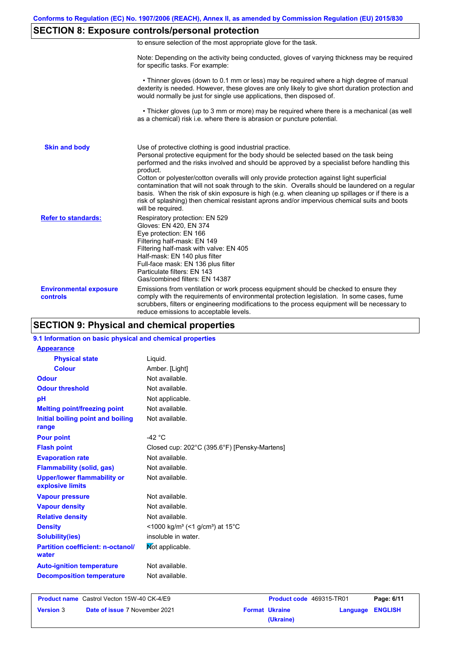# **SECTION 8: Exposure controls/personal protection**

|  | to ensure selection of the most appropriate glove for the task. |  |  |  |  |
|--|-----------------------------------------------------------------|--|--|--|--|
|  |                                                                 |  |  |  |  |

Note: Depending on the activity being conducted, gloves of varying thickness may be required for specific tasks. For example:

 • Thinner gloves (down to 0.1 mm or less) may be required where a high degree of manual dexterity is needed. However, these gloves are only likely to give short duration protection and would normally be just for single use applications, then disposed of.

 • Thicker gloves (up to 3 mm or more) may be required where there is a mechanical (as well as a chemical) risk i.e. where there is abrasion or puncture potential.

| <b>Skin and body</b>                             | Use of protective clothing is good industrial practice.<br>Personal protective equipment for the body should be selected based on the task being<br>performed and the risks involved and should be approved by a specialist before handling this<br>product.<br>Cotton or polyester/cotton overalls will only provide protection against light superficial<br>contamination that will not soak through to the skin. Overalls should be laundered on a regular<br>basis. When the risk of skin exposure is high (e.g. when cleaning up spillages or if there is a<br>risk of splashing) then chemical resistant aprons and/or impervious chemical suits and boots<br>will be required. |
|--------------------------------------------------|---------------------------------------------------------------------------------------------------------------------------------------------------------------------------------------------------------------------------------------------------------------------------------------------------------------------------------------------------------------------------------------------------------------------------------------------------------------------------------------------------------------------------------------------------------------------------------------------------------------------------------------------------------------------------------------|
| <b>Refer to standards:</b>                       | Respiratory protection: EN 529<br>Gloves: EN 420, EN 374<br>Eye protection: EN 166<br>Filtering half-mask: EN 149<br>Filtering half-mask with valve: EN 405<br>Half-mask: EN 140 plus filter<br>Full-face mask: EN 136 plus filter<br>Particulate filters: EN 143<br>Gas/combined filters: EN 14387                                                                                                                                                                                                                                                                                                                                                                                   |
| <b>Environmental exposure</b><br><b>controls</b> | Emissions from ventilation or work process equipment should be checked to ensure they<br>comply with the requirements of environmental protection legislation. In some cases, fume<br>scrubbers, filters or engineering modifications to the process equipment will be necessary to<br>reduce emissions to acceptable levels.                                                                                                                                                                                                                                                                                                                                                         |

### **SECTION 9: Physical and chemical properties**

#### **9.1 Information on basic physical and chemical properties**

| <b>Appearance</b>                                      |                                                                      |
|--------------------------------------------------------|----------------------------------------------------------------------|
| <b>Physical state</b>                                  | Liguid.                                                              |
| <b>Colour</b>                                          | Amber. [Light]                                                       |
| Odour                                                  | Not available.                                                       |
| <b>Odour threshold</b>                                 | Not available.                                                       |
| рH                                                     | Not applicable.                                                      |
| <b>Melting point/freezing point</b>                    | Not available.                                                       |
| Initial boiling point and boiling                      | Not available.                                                       |
| range                                                  |                                                                      |
| <b>Pour point</b>                                      | -42 $^{\circ}$ C                                                     |
| <b>Flash point</b>                                     | Closed cup: 202°C (395.6°F) [Pensky-Martens]                         |
| <b>Evaporation rate</b>                                | Not available.                                                       |
| <b>Flammability (solid, gas)</b>                       | Not available.                                                       |
| <b>Upper/lower flammability or</b><br>explosive limits | Not available.                                                       |
| <b>Vapour pressure</b>                                 | Not available.                                                       |
| <b>Vapour density</b>                                  | Not available.                                                       |
| <b>Relative density</b>                                | Not available.                                                       |
| <b>Density</b>                                         | <1000 kg/m <sup>3</sup> (<1 g/cm <sup>3</sup> ) at 15 <sup>°</sup> C |
| <b>Solubility(ies)</b>                                 | insoluble in water.                                                  |
| <b>Partition coefficient: n-octanol/</b><br>water      | Mot applicable.                                                      |
| <b>Auto-ignition temperature</b>                       | Not available.                                                       |
| <b>Decomposition temperature</b>                       | Not available.                                                       |

| <b>Product name</b> Castrol Vecton 15W-40 CK-4/E9 |                                      | <b>Product code</b> 469315-TR01 |                       | Page: 6/11       |  |
|---------------------------------------------------|--------------------------------------|---------------------------------|-----------------------|------------------|--|
| <b>Version 3</b>                                  | <b>Date of issue 7 November 2021</b> |                                 | <b>Format Ukraine</b> | Language ENGLISH |  |
|                                                   |                                      |                                 | (Ukraine)             |                  |  |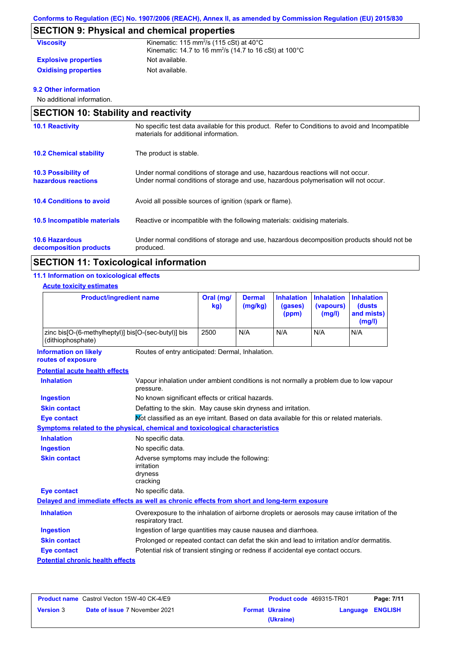# **SECTION 9: Physical and chemical properties**

| <b>Viscosity</b>            | Kinematic: 115 mm <sup>2</sup> /s (115 cSt) at $40^{\circ}$ C<br>Kinematic: 14.7 to 16 mm <sup>2</sup> /s (14.7 to 16 cSt) at 100 $^{\circ}$ C |
|-----------------------------|------------------------------------------------------------------------------------------------------------------------------------------------|
| <b>Explosive properties</b> | Not available.                                                                                                                                 |
| <b>Oxidising properties</b> | Not available.                                                                                                                                 |

#### **9.2 Other information**

No additional information.

|                                                   | <b>SECTION 10: Stability and reactivity</b>                                                                                                                             |  |  |  |  |
|---------------------------------------------------|-------------------------------------------------------------------------------------------------------------------------------------------------------------------------|--|--|--|--|
| <b>10.1 Reactivity</b>                            | No specific test data available for this product. Refer to Conditions to avoid and Incompatible<br>materials for additional information.                                |  |  |  |  |
| <b>10.2 Chemical stability</b>                    | The product is stable.                                                                                                                                                  |  |  |  |  |
| <b>10.3 Possibility of</b><br>hazardous reactions | Under normal conditions of storage and use, hazardous reactions will not occur.<br>Under normal conditions of storage and use, hazardous polymerisation will not occur. |  |  |  |  |
| <b>10.4 Conditions to avoid</b>                   | Avoid all possible sources of ignition (spark or flame).                                                                                                                |  |  |  |  |
| 10.5 Incompatible materials                       | Reactive or incompatible with the following materials: oxidising materials.                                                                                             |  |  |  |  |
| <b>10.6 Hazardous</b><br>decomposition products   | Under normal conditions of storage and use, hazardous decomposition products should not be<br>produced.                                                                 |  |  |  |  |

# **SECTION 11: Toxicological information**

### **11.1 Information on toxicological effects**

#### **Acute toxicity estimates**

| <b>Product/ingredient name</b>                                             | Oral (mg/<br>kg) | <b>Dermal</b><br>(mg/kg) | (gases)<br>(ppm) | Inhalation Inhalation Inhalation<br>(vapours)<br>(mg/l) | <b>(dusts)</b><br>and mists)<br>(mg/l) |
|----------------------------------------------------------------------------|------------------|--------------------------|------------------|---------------------------------------------------------|----------------------------------------|
| zinc bis [O-(6-methylheptyl)] bis [O-(sec-butyl)] bis<br>(dithiophosphate) | 2500             | N/A                      | N/A              | N/A                                                     | N/A                                    |

**Information on likely routes of exposure**

Routes of entry anticipated: Dermal, Inhalation.

#### **Potential acute health effects**

| <b>Inhalation</b>                       | Vapour inhalation under ambient conditions is not normally a problem due to low vapour<br>pressure.               |
|-----------------------------------------|-------------------------------------------------------------------------------------------------------------------|
| Ingestion                               | No known significant effects or critical hazards.                                                                 |
| <b>Skin contact</b>                     | Defatting to the skin. May cause skin dryness and irritation.                                                     |
| Eye contact                             | Not classified as an eye irritant. Based on data available for this or related materials.                         |
|                                         | Symptoms related to the physical, chemical and toxicological characteristics                                      |
| <b>Inhalation</b>                       | No specific data.                                                                                                 |
| Ingestion                               | No specific data.                                                                                                 |
| <b>Skin contact</b>                     | Adverse symptoms may include the following:<br>irritation<br>dryness<br>cracking                                  |
| Eye contact                             | No specific data.                                                                                                 |
|                                         | Delayed and immediate effects as well as chronic effects from short and long-term exposure                        |
| <b>Inhalation</b>                       | Overexposure to the inhalation of airborne droplets or aerosols may cause irritation of the<br>respiratory tract. |
| Ingestion                               | Ingestion of large quantities may cause nausea and diarrhoea.                                                     |
| <b>Skin contact</b>                     | Prolonged or repeated contact can defat the skin and lead to irritation and/or dermatitis.                        |
| Eye contact                             | Potential risk of transient stinging or redness if accidental eye contact occurs.                                 |
| <b>Potential chronic health effects</b> |                                                                                                                   |

| <b>Product name</b> Castrol Vecton 15W-40 CK-4/E9 |                                      | <b>Product code</b> 469315-TR01 |                       | Page: 7/11              |  |
|---------------------------------------------------|--------------------------------------|---------------------------------|-----------------------|-------------------------|--|
| <b>Version 3</b>                                  | <b>Date of issue 7 November 2021</b> |                                 | <b>Format Ukraine</b> | <b>Language ENGLISH</b> |  |
|                                                   |                                      |                                 | (Ukraine)             |                         |  |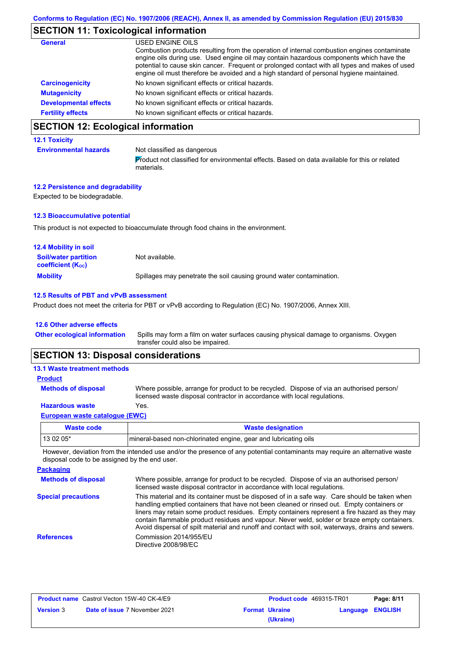# **SECTION 11: Toxicological information**

| <b>General</b>               | USED ENGINE OILS                                                                                                                                                                                                                                                                                                                                                                     |
|------------------------------|--------------------------------------------------------------------------------------------------------------------------------------------------------------------------------------------------------------------------------------------------------------------------------------------------------------------------------------------------------------------------------------|
|                              | Combustion products resulting from the operation of internal combustion engines contaminate<br>engine oils during use. Used engine oil may contain hazardous components which have the<br>potential to cause skin cancer. Frequent or prolonged contact with all types and makes of used<br>engine oil must therefore be avoided and a high standard of personal hygiene maintained. |
| <b>Carcinogenicity</b>       | No known significant effects or critical hazards.                                                                                                                                                                                                                                                                                                                                    |
| <b>Mutagenicity</b>          | No known significant effects or critical hazards.                                                                                                                                                                                                                                                                                                                                    |
| <b>Developmental effects</b> | No known significant effects or critical hazards.                                                                                                                                                                                                                                                                                                                                    |
| <b>Fertility effects</b>     | No known significant effects or critical hazards.                                                                                                                                                                                                                                                                                                                                    |

# **SECTION 12: Ecological information**

#### **12.1 Toxicity**

**Environmental hazards** Not classified as dangerous Product not classified for environmental effects. Based on data available for this or related materials.

#### **12.2 Persistence and degradability**

Expected to be biodegradable.

### **12.3 Bioaccumulative potential**

This product is not expected to bioaccumulate through food chains in the environment.

| <b>12.4 Mobility in soil</b>                            |                                                                      |
|---------------------------------------------------------|----------------------------------------------------------------------|
| <b>Soil/water partition</b><br><b>coefficient (Koc)</b> | Not available.                                                       |
| <b>Mobility</b>                                         | Spillages may penetrate the soil causing ground water contamination. |

#### **12.5 Results of PBT and vPvB assessment**

Product does not meet the criteria for PBT or vPvB according to Regulation (EC) No. 1907/2006, Annex XIII.

#### **12.6 Other adverse effects**

Spills may form a film on water surfaces causing physical damage to organisms. Oxygen transfer could also be impaired. **Other ecological information**

### **SECTION 13: Disposal considerations**

| <b>13.1 Waste treatment methods</b>   |                                                                                                                                                                      |
|---------------------------------------|----------------------------------------------------------------------------------------------------------------------------------------------------------------------|
| <b>Product</b>                        |                                                                                                                                                                      |
| <b>Methods of disposal</b>            | Where possible, arrange for product to be recycled. Dispose of via an authorised person/<br>licensed waste disposal contractor in accordance with local regulations. |
| <b>Hazardous waste</b>                | Yes.                                                                                                                                                                 |
| <b>European waste catalogue (EWC)</b> |                                                                                                                                                                      |

| Waste code | <b>Waste designation</b>                                        |
|------------|-----------------------------------------------------------------|
| $130205*$  | mineral-based non-chlorinated engine, gear and lubricating oils |
|            |                                                                 |

However, deviation from the intended use and/or the presence of any potential contaminants may require an alternative waste disposal code to be assigned by the end user.

| <b>Packaging</b>           |                                                                                                                                                                                                                                                                                                                                                                                                                                                                                                 |
|----------------------------|-------------------------------------------------------------------------------------------------------------------------------------------------------------------------------------------------------------------------------------------------------------------------------------------------------------------------------------------------------------------------------------------------------------------------------------------------------------------------------------------------|
| <b>Methods of disposal</b> | Where possible, arrange for product to be recycled. Dispose of via an authorised person/<br>licensed waste disposal contractor in accordance with local regulations.                                                                                                                                                                                                                                                                                                                            |
| <b>Special precautions</b> | This material and its container must be disposed of in a safe way. Care should be taken when<br>handling emptied containers that have not been cleaned or rinsed out. Empty containers or<br>liners may retain some product residues. Empty containers represent a fire hazard as they may<br>contain flammable product residues and vapour. Never weld, solder or braze empty containers.<br>Avoid dispersal of spilt material and runoff and contact with soil, waterways, drains and sewers. |
| <b>References</b>          | Commission 2014/955/EU<br>Directive 2008/98/EC                                                                                                                                                                                                                                                                                                                                                                                                                                                  |

| <b>Product name</b> Castrol Vecton 15W-40 CK-4/E9 |                                      | <b>Product code</b> 469315-TR01 |                       | Page: 8/11       |  |
|---------------------------------------------------|--------------------------------------|---------------------------------|-----------------------|------------------|--|
| <b>Version 3</b>                                  | <b>Date of issue 7 November 2021</b> |                                 | <b>Format Ukraine</b> | Language ENGLISH |  |
|                                                   |                                      |                                 | (Ukraine)             |                  |  |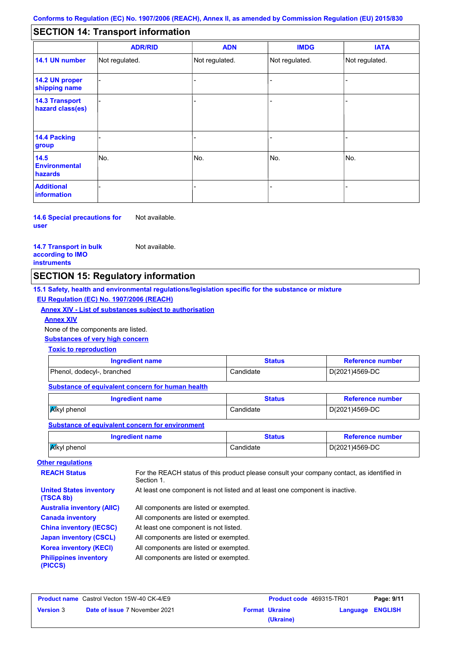#### - - - - - - - - - Not regulated. Not regulated. Not regulated. Not regulated. - - - **SECTION 14: Transport information ADR/RID IMDG IATA 14.1 UN number 14.2 UN proper shipping name 14.3 Transport hazard class(es) 14.4 Packing group ADN Additional information 14.5 Environmental hazards** No. 1980 | No. 1980 | No. 1980 | No. 1980 | No. 1980 | No. 1980 | No. 1980 | No. 1980 | No. 1980 | No. 1980 | Not regulated. - -<br>No. - -

**14.6 Special precautions for user** Not available.

#### **14.7 Transport in bulk according to IMO instruments**

Not available.

## **SECTION 15: Regulatory information**

**15.1 Safety, health and environmental regulations/legislation specific for the substance or mixture**

#### **EU Regulation (EC) No. 1907/2006 (REACH)**

**Annex XIV - List of substances subject to authorisation**

**Annex XIV**

None of the components are listed.

**Substances of very high concern**

### **Toxic to reproduction**

| Ingredient name            | Status    | <b>Reference number</b> |
|----------------------------|-----------|-------------------------|
| Phenol, dodecyl-, branched | Candidate | D(2021)4569-DC          |

#### **Substance of equivalent concern for human health**

| Ingredient name      | <b>Status</b> | <b>Reference number</b> |  |
|----------------------|---------------|-------------------------|--|
| <b>A</b> lkyl phenol | Candidate     | D(2021)4569-DC          |  |

### **Substance of equivalent concern for environment**

| Ingredient name     | Status    | <b>Reference number</b> |  |
|---------------------|-----------|-------------------------|--|
| <b>A</b> kyl phenol | Candidate | D(2021)4569-DC          |  |

# **Other regulations**

**United States inventory** 

**REACH Status** For the REACH status of this product please consult your company contact, as identified in Section 1.

At least one component is not listed and at least one component is inactive.

All components are listed or exempted. All components are listed or exempted. At least one component is not listed. **(TSCA 8b) Australia inventory (AIIC) Canada inventory China inventory (IECSC)**

All components are listed or exempted. All components are listed or exempted. **Japan inventory (CSCL) Korea inventory (KECI)**

All components are listed or exempted. **Philippines inventory** 

**(PICCS)**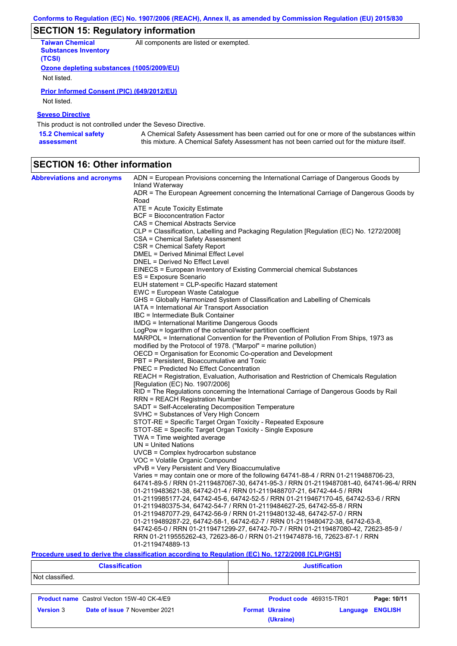# **SECTION 15: Regulatory information**

| <b>Taiwan Chemical</b>                    | All components are listed or exempted. |
|-------------------------------------------|----------------------------------------|
| <b>Substances Inventory</b>               |                                        |
| (TCSI)                                    |                                        |
| Ozone depleting substances (1005/2009/EU) |                                        |
| Not listed.                               |                                        |

### **Prior Informed Consent (PIC) (649/2012/EU)**

Not listed.

### **Seveso Directive**

This product is not controlled under the Seveso Directive.

| <b>15.2 Chemical safety</b> | A Chemical Safety Assessment has been carried out for one or more of the substances within  |
|-----------------------------|---------------------------------------------------------------------------------------------|
| assessment                  | this mixture. A Chemical Safety Assessment has not been carried out for the mixture itself. |

# **SECTION 16: Other information**

| <b>Abbreviations and acronyms</b> | ADN = European Provisions concerning the International Carriage of Dangerous Goods by                       |
|-----------------------------------|-------------------------------------------------------------------------------------------------------------|
|                                   | Inland Waterway<br>ADR = The European Agreement concerning the International Carriage of Dangerous Goods by |
|                                   | Road                                                                                                        |
|                                   | ATE = Acute Toxicity Estimate                                                                               |
|                                   | BCF = Bioconcentration Factor                                                                               |
|                                   | CAS = Chemical Abstracts Service                                                                            |
|                                   | CLP = Classification, Labelling and Packaging Regulation [Regulation (EC) No. 1272/2008]                    |
|                                   | CSA = Chemical Safety Assessment                                                                            |
|                                   | CSR = Chemical Safety Report                                                                                |
|                                   | DMEL = Derived Minimal Effect Level                                                                         |
|                                   | DNEL = Derived No Effect Level                                                                              |
|                                   | EINECS = European Inventory of Existing Commercial chemical Substances                                      |
|                                   | ES = Exposure Scenario                                                                                      |
|                                   | EUH statement = CLP-specific Hazard statement                                                               |
|                                   | EWC = European Waste Catalogue                                                                              |
|                                   | GHS = Globally Harmonized System of Classification and Labelling of Chemicals                               |
|                                   | IATA = International Air Transport Association                                                              |
|                                   | IBC = Intermediate Bulk Container                                                                           |
|                                   | IMDG = International Maritime Dangerous Goods                                                               |
|                                   | LogPow = logarithm of the octanol/water partition coefficient                                               |
|                                   | MARPOL = International Convention for the Prevention of Pollution From Ships, 1973 as                       |
|                                   | modified by the Protocol of 1978. ("Marpol" = marine pollution)                                             |
|                                   | OECD = Organisation for Economic Co-operation and Development                                               |
|                                   | PBT = Persistent, Bioaccumulative and Toxic                                                                 |
|                                   | <b>PNEC = Predicted No Effect Concentration</b>                                                             |
|                                   | REACH = Registration, Evaluation, Authorisation and Restriction of Chemicals Regulation                     |
|                                   | [Regulation (EC) No. 1907/2006]                                                                             |
|                                   | RID = The Regulations concerning the International Carriage of Dangerous Goods by Rail                      |
|                                   | RRN = REACH Registration Number                                                                             |
|                                   | SADT = Self-Accelerating Decomposition Temperature                                                          |
|                                   | SVHC = Substances of Very High Concern                                                                      |
|                                   | STOT-RE = Specific Target Organ Toxicity - Repeated Exposure                                                |
|                                   | STOT-SE = Specific Target Organ Toxicity - Single Exposure                                                  |
|                                   | $TWA = Time$ weighted average<br>$UN = United Nations$                                                      |
|                                   | $UVCB = Complex\;hydrocarbon\; substance$                                                                   |
|                                   | VOC = Volatile Organic Compound                                                                             |
|                                   | vPvB = Very Persistent and Very Bioaccumulative                                                             |
|                                   | Varies = may contain one or more of the following $64741-88-4$ / RRN 01-2119488706-23,                      |
|                                   | 64741-89-5 / RRN 01-2119487067-30, 64741-95-3 / RRN 01-2119487081-40, 64741-96-4/ RRN                       |
|                                   | 01-2119483621-38, 64742-01-4 / RRN 01-2119488707-21, 64742-44-5 / RRN                                       |
|                                   | 01-2119985177-24, 64742-45-6, 64742-52-5 / RRN 01-2119467170-45, 64742-53-6 / RRN                           |
|                                   | 01-2119480375-34, 64742-54-7 / RRN 01-2119484627-25, 64742-55-8 / RRN                                       |
|                                   | 01-2119487077-29, 64742-56-9 / RRN 01-2119480132-48, 64742-57-0 / RRN                                       |
|                                   | 01-2119489287-22, 64742-58-1, 64742-62-7 / RRN 01-2119480472-38, 64742-63-8,                                |
|                                   | 64742-65-0 / RRN 01-2119471299-27, 64742-70-7 / RRN 01-2119487080-42, 72623-85-9 /                          |
|                                   | RRN 01-2119555262-43, 72623-86-0 / RRN 01-2119474878-16, 72623-87-1 / RRN                                   |
|                                   | 01-2119474889-13                                                                                            |
|                                   |                                                                                                             |

### **Procedure used to derive the classification according to Regulation (EC) No. 1272/2008 [CLP/GHS]**

| <b>Classification</b> |                                                   | <b>Justification</b>     |          |                |
|-----------------------|---------------------------------------------------|--------------------------|----------|----------------|
| Not classified.       |                                                   |                          |          |                |
|                       |                                                   |                          |          |                |
|                       | <b>Product name</b> Castrol Vecton 15W-40 CK-4/E9 | Product code 469315-TR01 |          | Page: 10/11    |
| <b>Version 3</b>      | <b>Date of issue 7 November 2021</b>              | <b>Format Ukraine</b>    | Language | <b>ENGLISH</b> |

**(Ukraine)**